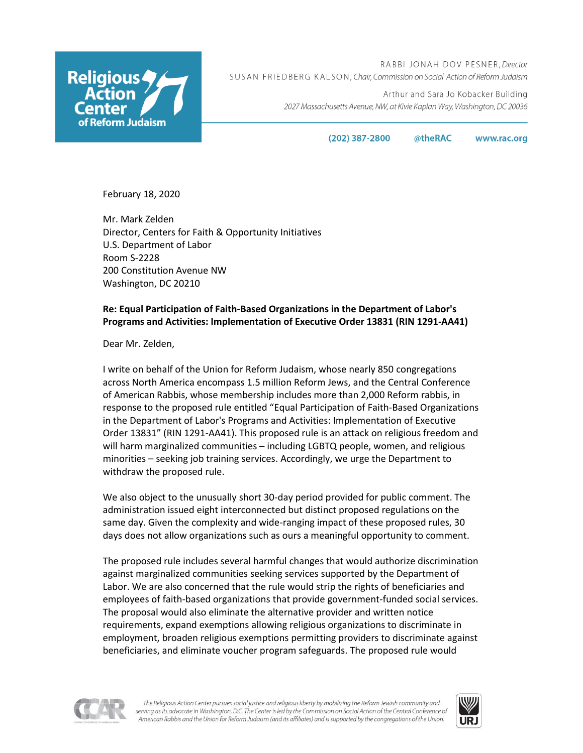

RABBI JONAH DOV PESNER, Director SUSAN FRIEDBERG KALSON, Chair, Commission on Social Action of Reform Judaism

> Arthur and Sara Jo Kobacker Building 2027 Massachusetts Avenue, NW, at Kivie Kaplan Way, Washington, DC 20036

> > $(202)$  387-2800 @theRAC

www.rac.org

February 18, 2020

Mr. Mark Zelden Director, Centers for Faith & Opportunity Initiatives U.S. Department of Labor Room S-2228 200 Constitution Avenue NW Washington, DC 20210

# **Re: Equal Participation of Faith-Based Organizations in the Department of Labor's Programs and Activities: Implementation of Executive Order 13831 (RIN 1291-AA41)**

Dear Mr. Zelden,

I write on behalf of the Union for Reform Judaism, whose nearly 850 congregations across North America encompass 1.5 million Reform Jews, and the Central Conference of American Rabbis, whose membership includes more than 2,000 Reform rabbis, in response to the proposed rule entitled "Equal Participation of Faith-Based Organizations in the Department of Labor's Programs and Activities: Implementation of Executive Order 13831" (RIN 1291-AA41). This proposed rule is an attack on religious freedom and will harm marginalized communities – including LGBTQ people, women, and religious minorities – seeking job training services. Accordingly, we urge the Department to withdraw the proposed rule.

We also object to the unusually short 30-day period provided for public comment. The administration issued eight interconnected but distinct proposed regulations on the same day. Given the complexity and wide-ranging impact of these proposed rules, 30 days does not allow organizations such as ours a meaningful opportunity to comment.

The proposed rule includes several harmful changes that would authorize discrimination against marginalized communities seeking services supported by the Department of Labor. We are also concerned that the rule would strip the rights of beneficiaries and employees of faith-based organizations that provide government-funded social services. The proposal would also eliminate the alternative provider and written notice requirements, expand exemptions allowing religious organizations to discriminate in employment, broaden religious exemptions permitting providers to discriminate against beneficiaries, and eliminate voucher program safeguards. The proposed rule would



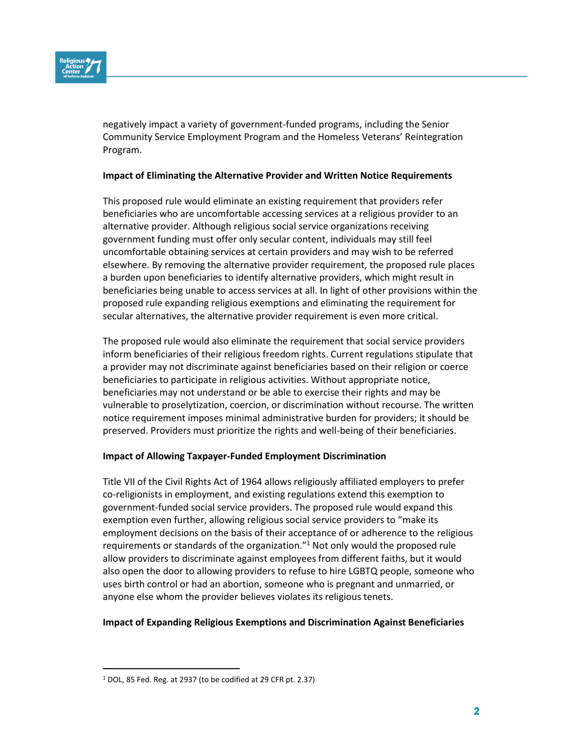

negatively impact a variety of government-funded programs, including the Senior Community Service Employment Program and the Homeless Veterans' Reintegration Program.

#### **Impact of Eliminating the Alternative Provider and Written Notice Requirements**

This proposed rule would eliminate an existing requirement that providers refer beneficiaries who are uncomfortable accessing services at a religious provider to an alternative provider. Although religious social service organizations receiving government funding must offer only secular content, individuals may still feel uncomfortable obtaining services at certain providers and may wish to be referred elsewhere. By removing the alternative provider requirement, the proposed rule places a burden upon beneficiaries to identify alternative providers, which might result in beneficiaries being unable to access services at all. In light of other provisions within the proposed rule expanding religious exemptions and eliminating the requirement for secular alternatives, the alternative provider requirement is even more critical.

The proposed rule would also eliminate the requirement that social service providers inform beneficiaries of their religious freedom rights. Current regulations stipulate that a provider may not discriminate against beneficiaries based on their religion or coerce beneficiaries to participate in religious activities. Without appropriate notice, beneficiaries may not understand or be able to exercise their rights and may be vulnerable to proselytization, coercion, or discrimination without recourse. The written notice requirement imposes minimal administrative burden for providers; it should be preserved. Providers must prioritize the rights and well-being of their beneficiaries.

#### **Impact of Allowing Taxpayer-Funded Employment Discrimination**

Title VII of the Civil Rights Act of 1964 allows religiously affiliated employers to prefer co-religionists in employment, and existing regulations extend this exemption to government-funded social service providers. The proposed rule would expand this exemption even further, allowing religious social service providers to "make its employment decisions on the basis of their acceptance of or adherence to the religious requirements or standards of the organization."<sup>1</sup> Not only would the proposed rule allow providers to discriminate against employees from different faiths, but it would also open the door to allowing providers to refuse to hire LGBTQ people, someone who uses birth control or had an abortion, someone who is pregnant and unmarried, or anyone else whom the provider believes violates its religious tenets.

### **Impact of Expanding Religious Exemptions and Discrimination Against Beneficiaries**

<sup>1</sup> DOL, 85 Fed. Reg. at 2937 (to be codified at 29 CFR pt. 2.37)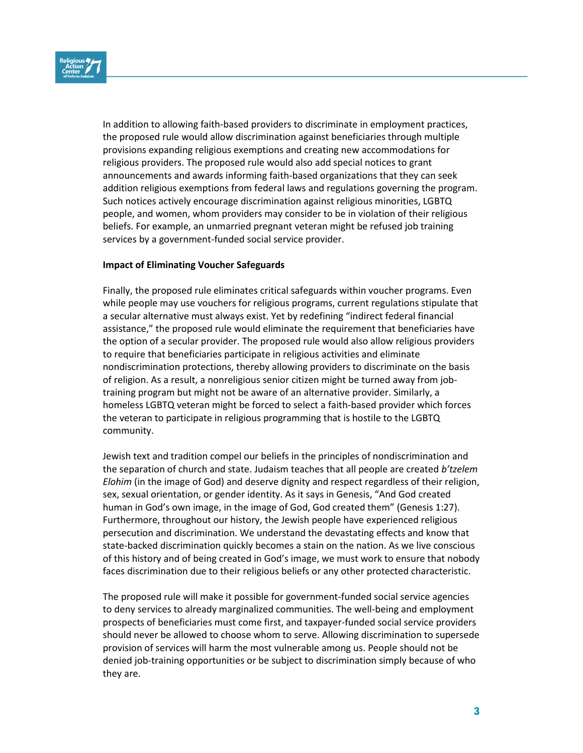

In addition to allowing faith-based providers to discriminate in employment practices, the proposed rule would allow discrimination against beneficiaries through multiple provisions expanding religious exemptions and creating new accommodations for religious providers. The proposed rule would also add special notices to grant announcements and awards informing faith-based organizations that they can seek addition religious exemptions from federal laws and regulations governing the program. Such notices actively encourage discrimination against religious minorities, LGBTQ people, and women, whom providers may consider to be in violation of their religious beliefs. For example, an unmarried pregnant veteran might be refused job training services by a government-funded social service provider.

## **Impact of Eliminating Voucher Safeguards**

Finally, the proposed rule eliminates critical safeguards within voucher programs. Even while people may use vouchers for religious programs, current regulations stipulate that a secular alternative must always exist. Yet by redefining "indirect federal financial assistance," the proposed rule would eliminate the requirement that beneficiaries have the option of a secular provider. The proposed rule would also allow religious providers to require that beneficiaries participate in religious activities and eliminate nondiscrimination protections, thereby allowing providers to discriminate on the basis of religion. As a result, a nonreligious senior citizen might be turned away from jobtraining program but might not be aware of an alternative provider. Similarly, a homeless LGBTQ veteran might be forced to select a faith-based provider which forces the veteran to participate in religious programming that is hostile to the LGBTQ community.

Jewish text and tradition compel our beliefs in the principles of nondiscrimination and the separation of church and state. Judaism teaches that all people are created *b'tzelem Elohim* (in the image of God) and deserve dignity and respect regardless of their religion, sex, sexual orientation, or gender identity. As it says in Genesis, "And God created human in God's own image, in the image of God, God created them" (Genesis 1:27). Furthermore, throughout our history, the Jewish people have experienced religious persecution and discrimination. We understand the devastating effects and know that state-backed discrimination quickly becomes a stain on the nation. As we live conscious of this history and of being created in God's image, we must work to ensure that nobody faces discrimination due to their religious beliefs or any other protected characteristic.

The proposed rule will make it possible for government-funded social service agencies to deny services to already marginalized communities. The well-being and employment prospects of beneficiaries must come first, and taxpayer-funded social service providers should never be allowed to choose whom to serve. Allowing discrimination to supersede provision of services will harm the most vulnerable among us. People should not be denied job-training opportunities or be subject to discrimination simply because of who they are.